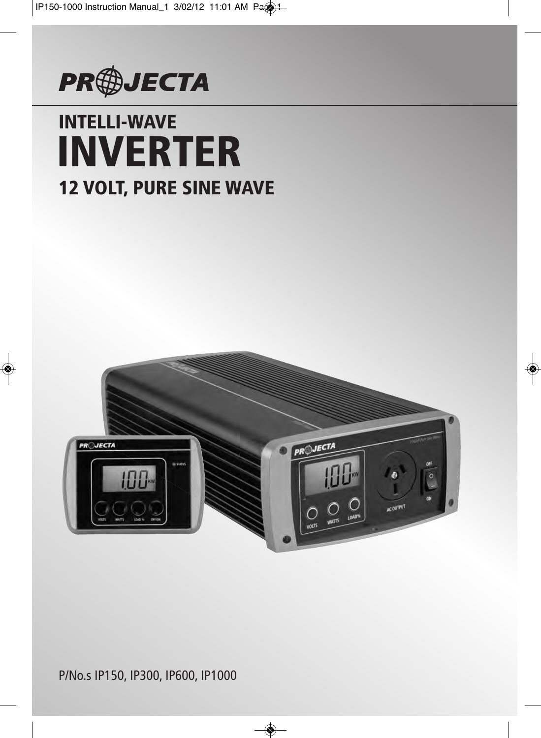

# **INTELLI-WAVE 12 VOLT, PURE SINE WAVE INVERTER**



P/No.s IP150, IP300, IP600, IP1000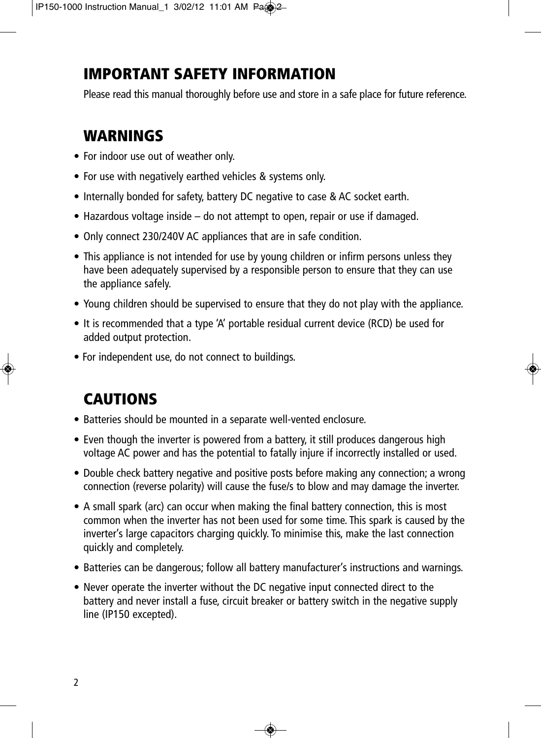# **IMPORTANT SAFETY INFORMATION**

Please read this manual thoroughly before use and store in a safe place for future reference.

# **WARNINGS**

- For indoor use out of weather only.
- For use with negatively earthed vehicles & systems only.
- Internally bonded for safety, battery DC negative to case & AC socket earth.
- Hazardous voltage inside do not attempt to open, repair or use if damaged.
- Only connect 230/240V AC appliances that are in safe condition.
- This appliance is not intended for use by young children or infirm persons unless they have been adequately supervised by a responsible person to ensure that they can use the appliance safely.
- Young children should be supervised to ensure that they do not play with the appliance.
- It is recommended that a type 'A' portable residual current device (RCD) be used for added output protection.
- For independent use, do not connect to buildings.

# **CAUTIONS**

- Batteries should be mounted in a separate well-vented enclosure.
- Even though the inverter is powered from a battery, it still produces dangerous high voltage AC power and has the potential to fatally injure if incorrectly installed or used.
- Double check battery negative and positive posts before making any connection; a wrong connection (reverse polarity) will cause the fuse/s to blow and may damage the inverter.
- A small spark (arc) can occur when making the final battery connection, this is most common when the inverter has not been used for some time. This spark is caused by the inverter's large capacitors charging quickly. To minimise this, make the last connection quickly and completely.
- Batteries can be dangerous; follow all battery manufacturer's instructions and warnings.
- Never operate the inverter without the DC negative input connected direct to the battery and never install a fuse, circuit breaker or battery switch in the negative supply line (IP150 excepted).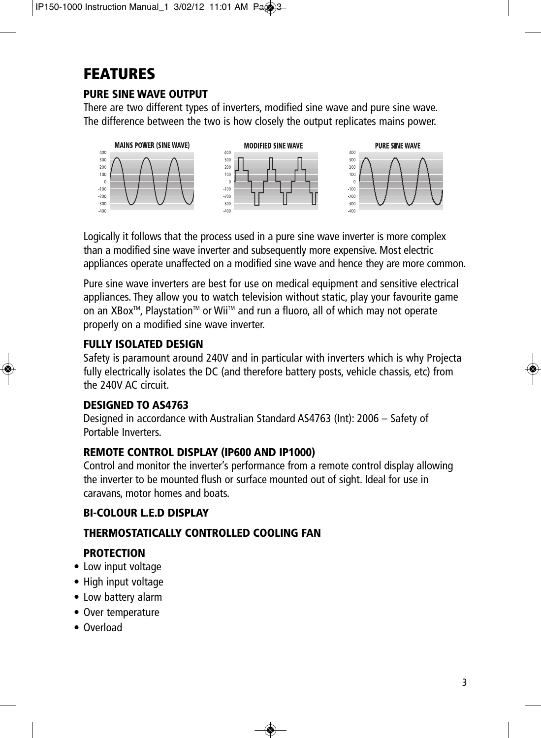# **FEATURES**

### **PURE SINE WAVE OUTPUT**

There are two different types of inverters, modified sine wave and pure sine wave. The difference between the two is how closely the output replicates mains power.



Logically it follows that the process used in a pure sine wave inverter is more complex than a modified sine wave inverter and subsequently more expensive. Most electric appliances operate unaffected on a modified sine wave and hence they are more common.

Pure sine wave inverters are best for use on medical equipment and sensitive electrical appliances. They allow you to watch television without static, play your favourite game on an XBox<sup>™</sup>, Playstation<sup>™</sup> or Wii<sup>™</sup> and run a fluoro, all of which may not operate properly on a modified sine wave inverter.

### **FULLY ISOLATED DESIGN**

Safety is paramount around 240V and in particular with inverters which is why Projecta fully electrically isolates the DC (and therefore battery posts, vehicle chassis, etc) from the 240V AC circuit.

### **DESIGNED TO AS4763**

Designed in accordance with Australian Standard AS4763 (Int): 2006 – Safety of Portable Inverters.

### **REMOTE CONTROL DISPLAY (IP600 AND IP1000)**

Control and monitor the inverter's performance from a remote control display allowing the inverter to be mounted flush or surface mounted out of sight. Ideal for use in caravans, motor homes and boats.

### **BI-COLOUR L.E.D DISPLAY**

### **THERMOSTATICALLY CONTROLLED COOLING FAN**

### **PROTECTION**

- Low input voltage
- High input voltage
- Low battery alarm
- Over temperature
- Overload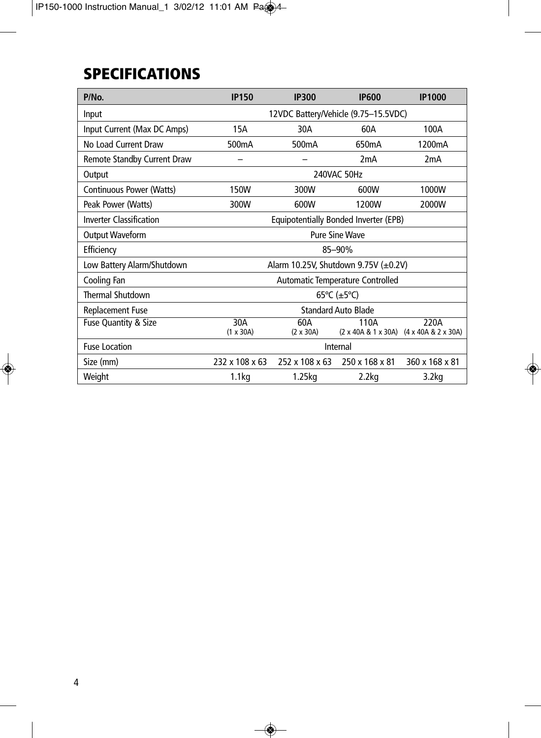# **SPECIFICATIONS**

| P/No.                          | <b>IP150</b>                                                | <b>IP300</b>            | <b>IP600</b>                          | <b>IP1000</b>                                   |  |  |
|--------------------------------|-------------------------------------------------------------|-------------------------|---------------------------------------|-------------------------------------------------|--|--|
| Input                          | 12VDC Battery/Vehicle (9.75-15.5VDC)                        |                         |                                       |                                                 |  |  |
| Input Current (Max DC Amps)    | 30A<br>60A<br>100A<br>15A                                   |                         |                                       |                                                 |  |  |
| No Load Current Draw           | 500 <sub>m</sub> A<br>500 <sub>m</sub> A<br>1200mA<br>650mA |                         |                                       |                                                 |  |  |
| Remote Standby Current Draw    |                                                             |                         | 2mA                                   | 2 <sub>m</sub> A                                |  |  |
| Output                         |                                                             |                         | 240VAC 50Hz                           |                                                 |  |  |
| Continuous Power (Watts)       | 150W                                                        | 300W                    | 600W                                  | 1000W                                           |  |  |
| Peak Power (Watts)             | 300W                                                        | 600W                    | 1200W                                 | 2000W                                           |  |  |
| <b>Inverter Classification</b> |                                                             |                         | Equipotentially Bonded Inverter (EPB) |                                                 |  |  |
| <b>Output Waveform</b>         | <b>Pure Sine Wave</b>                                       |                         |                                       |                                                 |  |  |
| Efficiency                     | 85-90%                                                      |                         |                                       |                                                 |  |  |
| Low Battery Alarm/Shutdown     | Alarm 10.25V, Shutdown 9.75V $(\pm 0.2V)$                   |                         |                                       |                                                 |  |  |
| Cooling Fan                    | Automatic Temperature Controlled                            |                         |                                       |                                                 |  |  |
| <b>Thermal Shutdown</b>        | 65°C ( $\pm$ 5°C)                                           |                         |                                       |                                                 |  |  |
| <b>Replacement Fuse</b>        | <b>Standard Auto Blade</b>                                  |                         |                                       |                                                 |  |  |
| Fuse Quantity & Size           | 30A<br>$(1 \times 30A)$                                     | 60A<br>$(2 \times 30A)$ | 110A                                  | 220A<br>(2 x 40A & 1 x 30A) (4 x 40A & 2 x 30A) |  |  |
| <b>Fuse Location</b>           | Internal                                                    |                         |                                       |                                                 |  |  |
| Size (mm)                      | 232 x 108 x 63                                              | 252 x 108 x 63          | 250 x 168 x 81                        | 360 x 168 x 81                                  |  |  |
| Weight                         | 1.1 <sub>kq</sub>                                           | 1.25kg                  | 2.2 <sub>kq</sub>                     | 3.2 <sub>kq</sub>                               |  |  |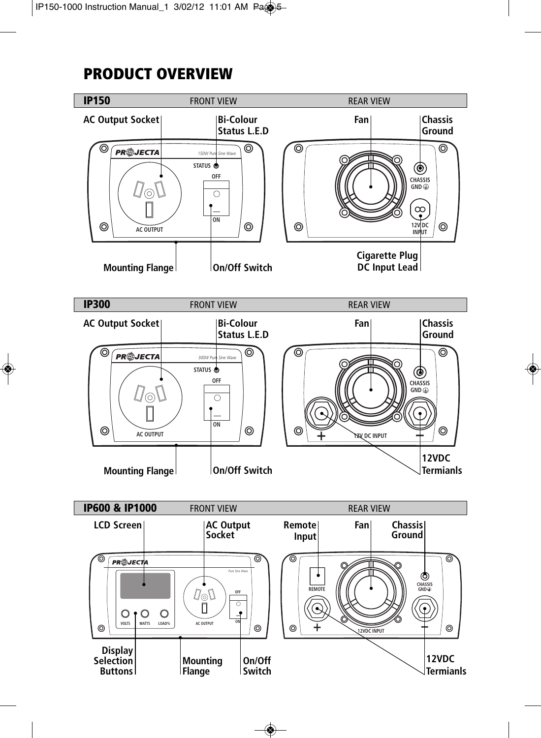## **PRODUCT OVERVIEW**

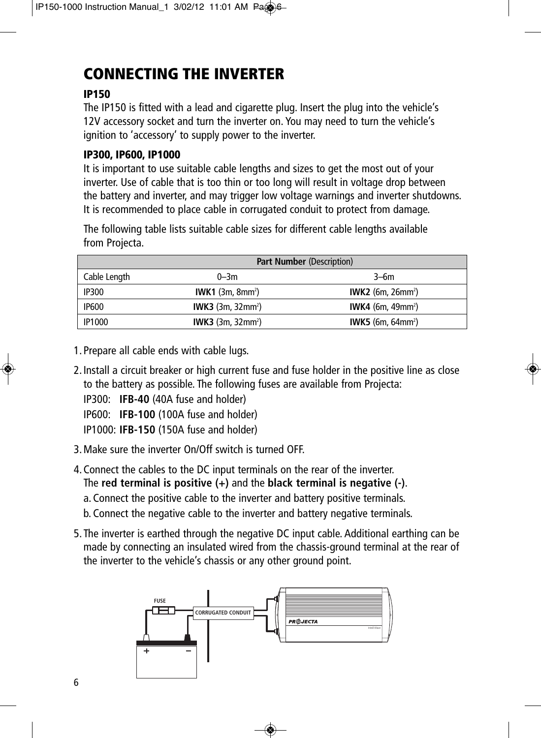# **CONNECTING THE INVERTER**

### **IP150**

The IP150 is fitted with a lead and cigarette plug. Insert the plug into the vehicle's 12V accessory socket and turn the inverter on. You may need to turn the vehicle's ignition to 'accessory' to supply power to the inverter.

### **IP300, IP600, IP1000**

It is important to use suitable cable lengths and sizes to get the most out of your inverter. Use of cable that is too thin or too long will result in voltage drop between the battery and inverter, and may trigger low voltage warnings and inverter shutdowns. It is recommended to place cable in corrugated conduit to protect from damage.

The following table lists suitable cable sizes for different cable lengths available from Projecta.

|               | <b>Part Number (Description)</b>     |                                      |  |  |
|---------------|--------------------------------------|--------------------------------------|--|--|
| Cable Length  | $0 - 3m$                             | $3-6m$                               |  |  |
| <b>IP300</b>  | IWK1 $(3m, 8mm^2)$                   | <b>IWK2</b> (6m, 26mm <sup>2</sup> ) |  |  |
| <b>IP600</b>  | <b>IWK3</b> (3m, 32mm <sup>2</sup> ) | <b>IWK4</b> (6m, 49mm <sup>2</sup> ) |  |  |
| <b>IP1000</b> | <b>IWK3</b> $(3m, 32mm^2)$           | <b>IWK5</b> (6m, 64mm <sup>2</sup> ) |  |  |

- 1. Prepare all cable ends with cable lugs.
- 2. Install a circuit breaker or high current fuse and fuse holder in the positive line as close to the battery as possible. The following fuses are available from Projecta:

IP300: **IFB-40** (40A fuse and holder)

IP600: **IFB-100** (100A fuse and holder)

IP1000: **IFB-150** (150A fuse and holder)

3. Make sure the inverter On/Off switch is turned OFF.

4. Connect the cables to the DC input terminals on the rear of the inverter. The **red terminal is positive (+)** and the **black terminal is negative (-)**. a. Connect the positive cable to the inverter and battery positive terminals. b. Connect the negative cable to the inverter and battery negative terminals.

5. The inverter is earthed through the negative DC input cable. Additional earthing can be made by connecting an insulated wired from the chassis-ground terminal at the rear of the inverter to the vehicle's chassis or any other ground point.

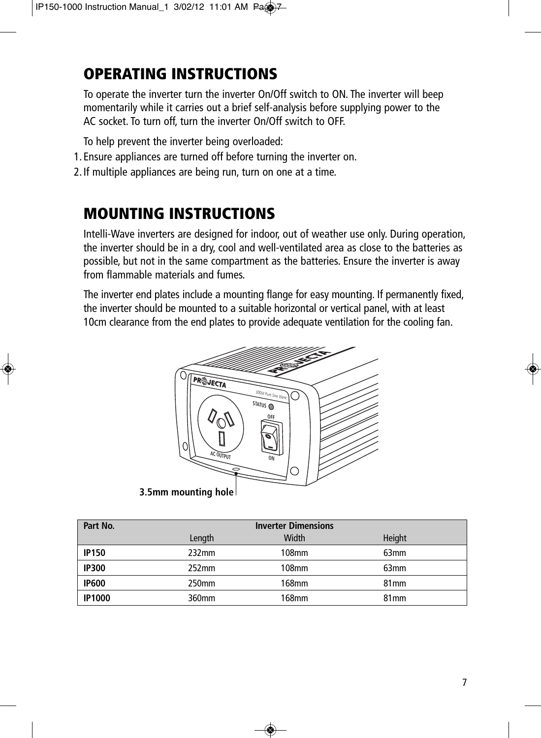# **OPERATING INSTRUCTIONS**

To operate the inverter turn the inverter On/Off switch to ON. The inverter will beep momentarily while it carries out a brief self-analysis before supplying power to the AC socket. To turn off, turn the inverter On/Off switch to OFF.

To help prevent the inverter being overloaded:

- 1. Ensure appliances are turned off before turning the inverter on.
- 2. If multiple appliances are being run, turn on one at a time.

# **MOUNTING INSTRUCTIONS**

Intelli-Wave inverters are designed for indoor, out of weather use only. During operation, the inverter should be in a dry, cool and well-ventilated area as close to the batteries as possible, but not in the same compartment as the batteries. Ensure the inverter is away from flammable materials and fumes.

The inverter end plates include a mounting flange for easy mounting. If permanently fixed, the inverter should be mounted to a suitable horizontal or vertical panel, with at least 10cm clearance from the end plates to provide adequate ventilation for the cooling fan.



| Part No.      | <b>Inverter Dimensions</b> |       |                  |  |
|---------------|----------------------------|-------|------------------|--|
|               | Length                     | Width | Height           |  |
| <b>IP150</b>  | 232mm                      | 108mm | 63 <sub>mm</sub> |  |
| <b>IP300</b>  | 252 <sub>mm</sub>          | 108mm | 63 <sub>mm</sub> |  |
| <b>IP600</b>  | 250mm                      | 168mm | 81 <sub>mm</sub> |  |
| <b>IP1000</b> | 360mm                      | 168mm | 81 <sub>mm</sub> |  |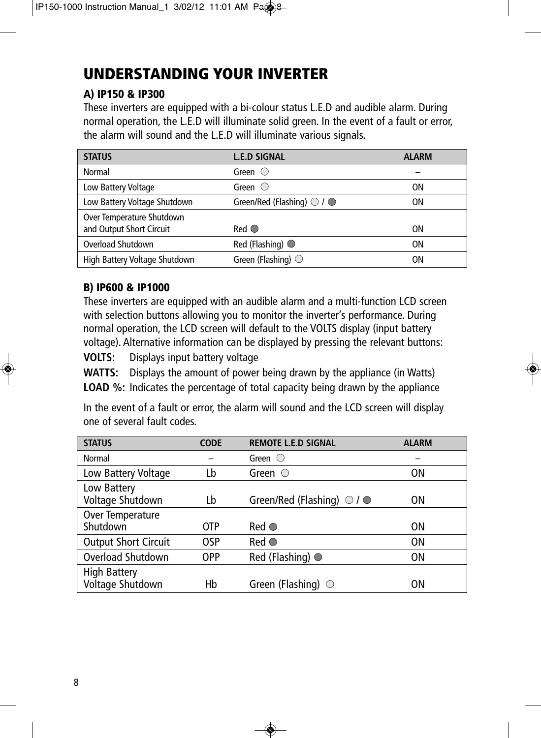# **UNDERSTANDING YOUR INVERTER**

### **A) IP150 & IP300**

These inverters are equipped with a bi-colour status L.E.D and audible alarm. During normal operation, the L.E.D will illuminate solid green. In the event of a fault or error, the alarm will sound and the L.E.D will illuminate various signals.

| <b>STATUS</b>                                         | <b>L.E.D SIGNAL</b>                         | <b>ALARM</b> |
|-------------------------------------------------------|---------------------------------------------|--------------|
| Normal                                                | Green $\bigcirc$                            |              |
| Low Battery Voltage                                   | Green $\bigcirc$                            | ΟN           |
| Low Battery Voltage Shutdown                          | Green/Red (Flashing) $\bigcirc$ / $\bullet$ | OΝ           |
| Over Temperature Shutdown<br>and Output Short Circuit | $Red$ $\odot$                               | ΟN           |
| Overload Shutdown                                     | Red (Flashing)                              | ΟN           |
| High Battery Voltage Shutdown                         | Green (Flashing) $\bigcirc$                 | ΟN           |

### **B) IP600 & IP1000**

These inverters are equipped with an audible alarm and a multi-function LCD screen with selection buttons allowing you to monitor the inverter's performance. During normal operation, the LCD screen will default to the VOLTS display (input battery voltage). Alternative information can be displayed by pressing the relevant buttons:

**VOLTS:** Displays input battery voltage

**WATTS:** Displays the amount of power being drawn by the appliance (in Watts) **LOAD %:** Indicates the percentage of total capacity being drawn by the appliance

In the event of a fault or error, the alarm will sound and the LCD screen will display one of several fault codes.

| <b>STATUS</b>                           | <b>CODE</b> | <b>REMOTE L.E.D SIGNAL</b>                  | <b>ALARM</b> |
|-----------------------------------------|-------------|---------------------------------------------|--------------|
| Normal                                  |             | Green $\heartsuit$                          |              |
| Low Battery Voltage                     | Lb          | Green $\bigcirc$                            | 0N           |
| Low Battery<br>Voltage Shutdown         | Lb          | Green/Red (Flashing) $\bigcirc$ / $\bullet$ | 0N           |
| Over Temperature<br>Shutdown            | <b>OTP</b>  | $Red$ $\bullet$                             | 0N           |
| <b>Output Short Circuit</b>             | <b>OSP</b>  | $Red$ $\bullet$                             | <b>ON</b>    |
| Overload Shutdown                       | <b>OPP</b>  | Red (Flashing)                              | 0N           |
| <b>High Battery</b><br>Voltage Shutdown | Hb          | Green (Flashing) $\bigcirc$                 | ΟN           |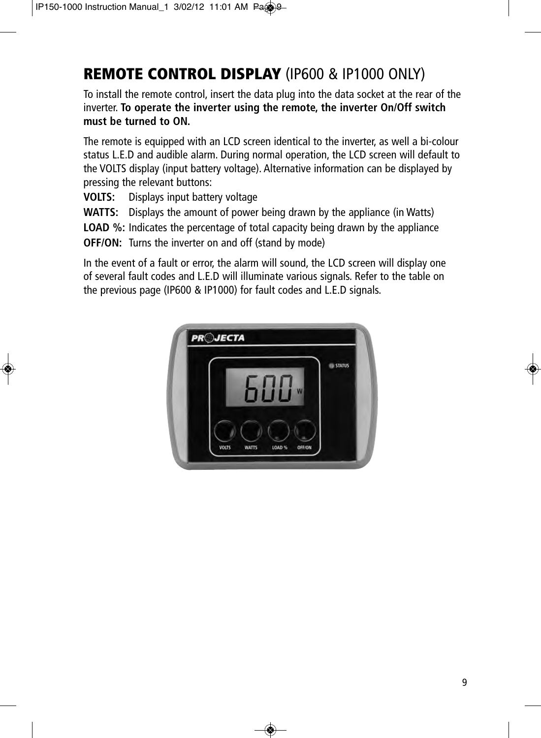# **REMOTE CONTROL DISPLAY** (IP600 & IP1000 ONLY)

To install the remote control, insert the data plug into the data socket at the rear of the inverter. **To operate the inverter using the remote, the inverter On/Off switch must be turned to ON.**

The remote is equipped with an LCD screen identical to the inverter, as well a bi-colour status L.E.D and audible alarm. During normal operation, the LCD screen will default to the VOLTS display (input battery voltage). Alternative information can be displayed by pressing the relevant buttons:

**VOLTS:** Displays input battery voltage

**WATTS:** Displays the amount of power being drawn by the appliance (in Watts)

**LOAD %:** Indicates the percentage of total capacity being drawn by the appliance

**OFF/ON:** Turns the inverter on and off (stand by mode)

In the event of a fault or error, the alarm will sound, the LCD screen will display one of several fault codes and L.E.D will illuminate various signals. Refer to the table on the previous page (IP600 & IP1000) for fault codes and L.E.D signals.

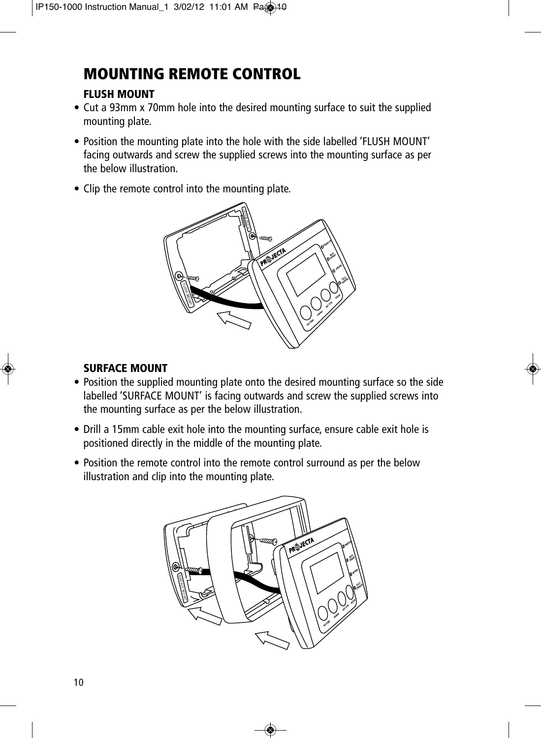# **MOUNTING REMOTE CONTROL**

### **FLUSH MOUNT**

- Cut a 93mm x 70mm hole into the desired mounting surface to suit the supplied mounting plate.
- Position the mounting plate into the hole with the side labelled 'FLUSH MOUNT' facing outwards and screw the supplied screws into the mounting surface as per the below illustration.
- Clip the remote control into the mounting plate.



### **SURFACE MOUNT**

- Position the supplied mounting plate onto the desired mounting surface so the side labelled 'SURFACE MOUNT' is facing outwards and screw the supplied screws into the mounting surface as per the below illustration.
- Drill a 15mm cable exit hole into the mounting surface, ensure cable exit hole is positioned directly in the middle of the mounting plate.
- Position the remote control into the remote control surround as per the below illustration and clip into the mounting plate.

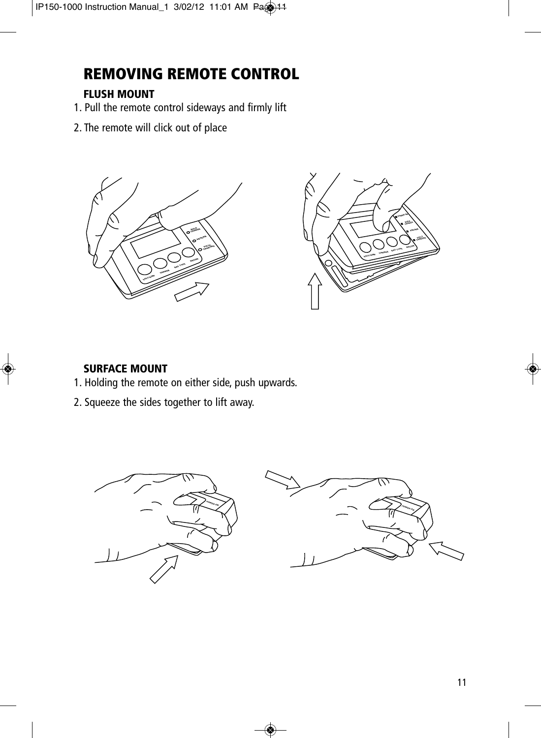# **REMOVING REMOTE CONTROL**

### **FLUSH MOUNT**

- 1. Pull the remote control sideways and firmly lift
- 2. The remote will click out of place





### **SURFACE MOUNT**

- 1. Holding the remote on either side, push upwards.
- 2. Squeeze the sides together to lift away.

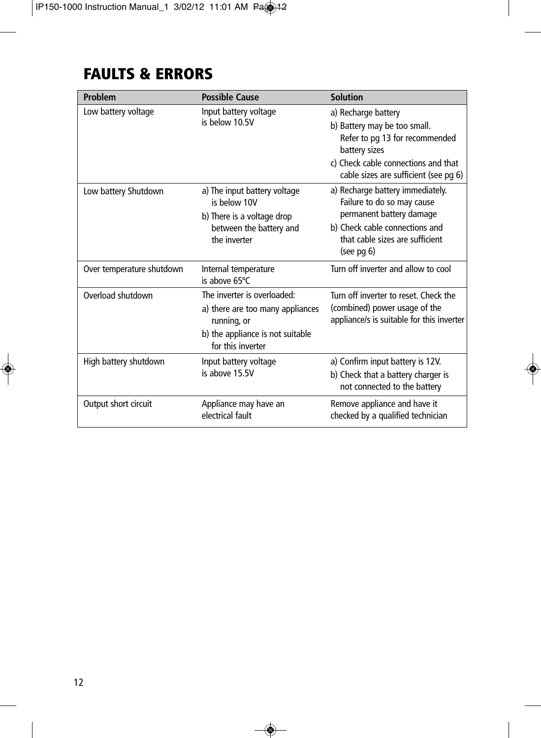# **FAULTS & ERRORS**

| Problem                   | <b>Possible Cause</b>                                                                                                                   | <b>Solution</b>                                                                                                                                                                        |
|---------------------------|-----------------------------------------------------------------------------------------------------------------------------------------|----------------------------------------------------------------------------------------------------------------------------------------------------------------------------------------|
| Low battery voltage       | Input battery voltage<br>is below 10.5V                                                                                                 | a) Recharge battery<br>b) Battery may be too small.<br>Refer to pg 13 for recommended<br>battery sizes<br>c) Check cable connections and that<br>cable sizes are sufficient (see pg 6) |
| Low battery Shutdown      | a) The input battery voltage<br>is below 10V<br>b) There is a voltage drop<br>between the battery and<br>the inverter                   | a) Recharge battery immediately.<br>Failure to do so may cause<br>permanent battery damage<br>b) Check cable connections and<br>that cable sizes are sufficient<br>$(see$ pg $6)$      |
| Over temperature shutdown | Internal temperature<br>is above 65°C                                                                                                   | Turn off inverter and allow to cool                                                                                                                                                    |
| Overload shutdown         | The inverter is overloaded:<br>a) there are too many appliances<br>running, or<br>b) the appliance is not suitable<br>for this inverter | Turn off inverter to reset. Check the<br>(combined) power usage of the<br>appliance/s is suitable for this inverter                                                                    |
| High battery shutdown     | Input battery voltage<br>is above 15.5V                                                                                                 | a) Confirm input battery is 12V.<br>b) Check that a battery charger is<br>not connected to the battery                                                                                 |
| Output short circuit      | Appliance may have an<br>electrical fault                                                                                               | Remove appliance and have it<br>checked by a qualified technician                                                                                                                      |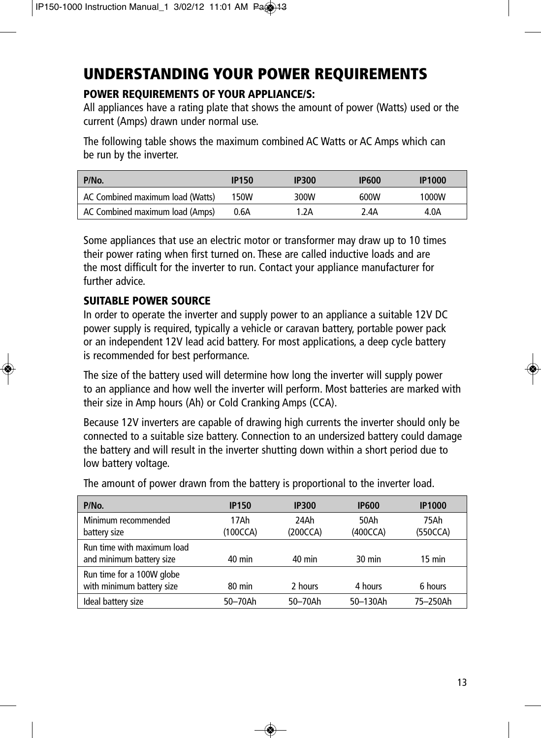# **UNDERSTANDING YOUR POWER REQUIREMENTS**

### **POWER REQUIREMENTS OF YOUR APPLIANCE/S:**

All appliances have a rating plate that shows the amount of power (Watts) used or the current (Amps) drawn under normal use.

The following table shows the maximum combined AC Watts or AC Amps which can be run by the inverter.

| P/No.                            | <b>IP150</b> | <b>IP300</b> | <b>IP600</b> | <b>IP1000</b> |
|----------------------------------|--------------|--------------|--------------|---------------|
| AC Combined maximum load (Watts) | 150W         | 300W         | 600W         | 1000W         |
| AC Combined maximum load (Amps)  | 0.6A         | 1.2A         | 2.4A         | 4.0A          |

Some appliances that use an electric motor or transformer may draw up to 10 times their power rating when first turned on. These are called inductive loads and are the most difficult for the inverter to run. Contact your appliance manufacturer for further advice.

### **SUITABLE POWER SOURCE**

In order to operate the inverter and supply power to an appliance a suitable 12V DC power supply is required, typically a vehicle or caravan battery, portable power pack or an independent 12V lead acid battery. For most applications, a deep cycle battery is recommended for best performance.

The size of the battery used will determine how long the inverter will supply power to an appliance and how well the inverter will perform. Most batteries are marked with their size in Amp hours (Ah) or Cold Cranking Amps (CCA).

Because 12V inverters are capable of drawing high currents the inverter should only be connected to a suitable size battery. Connection to an undersized battery could damage the battery and will result in the inverter shutting down within a short period due to low battery voltage.

The amount of power drawn from the battery is proportional to the inverter load.

| P/No.                                                  | <b>IP150</b>     | <b>IP300</b>     | <b>IP600</b>     | <b>IP1000</b>    |
|--------------------------------------------------------|------------------|------------------|------------------|------------------|
| Minimum recommended<br>battery size                    | 17Ah<br>(100CCA) | 24Ah<br>(200CCA) | 50Ah<br>(400CCA) | 75Ah<br>(550CCA) |
| Run time with maximum load<br>and minimum battery size | $40 \text{ min}$ | $40 \text{ min}$ | 30 min           | 15 min           |
| Run time for a 100W globe<br>with minimum battery size | $80 \text{ min}$ | 2 hours          | 4 hours          | 6 hours          |
| Ideal battery size                                     | 50-70Ah          | 50-70Ah          | 50-130Ah         | 75-250Ah         |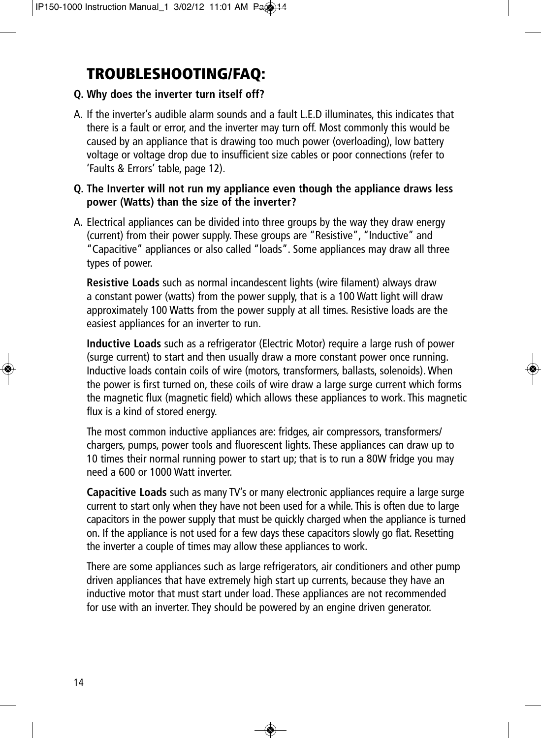# **TROUBLESHOOTING/FAQ:**

### **Q. Why does the inverter turn itself off?**

A. If the inverter's audible alarm sounds and a fault L.E.D illuminates, this indicates that there is a fault or error, and the inverter may turn off. Most commonly this would be caused by an appliance that is drawing too much power (overloading), low battery voltage or voltage drop due to insufficient size cables or poor connections (refer to 'Faults & Errors' table, page 12).

#### **Q. The Inverter will not run my appliance even though the appliance draws less power (Watts) than the size of the inverter?**

A. Electrical appliances can be divided into three groups by the way they draw energy (current) from their power supply. These groups are "Resistive", "Inductive" and "Capacitive" appliances or also called "loads". Some appliances may draw all three types of power.

**Resistive Loads** such as normal incandescent lights (wire filament) always draw a constant power (watts) from the power supply, that is a 100 Watt light will draw approximately 100 Watts from the power supply at all times. Resistive loads are the easiest appliances for an inverter to run.

**Inductive Loads** such as a refrigerator (Electric Motor) require a large rush of power (surge current) to start and then usually draw a more constant power once running. Inductive loads contain coils of wire (motors, transformers, ballasts, solenoids). When the power is first turned on, these coils of wire draw a large surge current which forms the magnetic flux (magnetic field) which allows these appliances to work. This magnetic flux is a kind of stored energy.

The most common inductive appliances are: fridges, air compressors, transformers/ chargers, pumps, power tools and fluorescent lights. These appliances can draw up to 10 times their normal running power to start up; that is to run a 80W fridge you may need a 600 or 1000 Watt inverter.

**Capacitive Loads** such as many TV's or many electronic appliances require a large surge current to start only when they have not been used for a while. This is often due to large capacitors in the power supply that must be quickly charged when the appliance is turned on. If the appliance is not used for a few days these capacitors slowly go flat. Resetting the inverter a couple of times may allow these appliances to work.

There are some appliances such as large refrigerators, air conditioners and other pump driven appliances that have extremely high start up currents, because they have an inductive motor that must start under load. These appliances are not recommended for use with an inverter. They should be powered by an engine driven generator.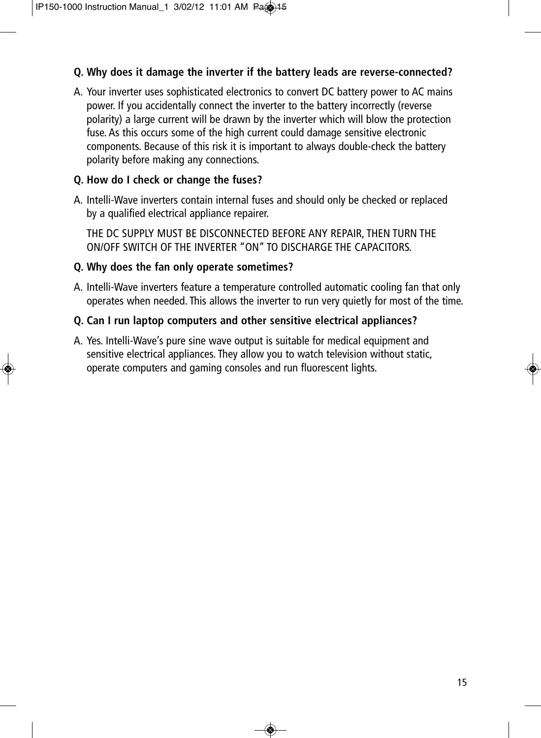### **Q. Why does it damage the inverter if the battery leads are reverse-connected?**

A. Your inverter uses sophisticated electronics to convert DC battery power to AC mains power. If you accidentally connect the inverter to the battery incorrectly (reverse polarity) a large current will be drawn by the inverter which will blow the protection fuse. As this occurs some of the high current could damage sensitive electronic components. Because of this risk it is important to always double-check the battery polarity before making any connections.

### **Q. How do I check or change the fuses?**

A. Intelli-Wave inverters contain internal fuses and should only be checked or replaced by a qualified electrical appliance repairer.

THE DC SUPPLY MUST BE DISCONNECTED BEFORE ANY REPAIR, THEN TURN THE ON/OFF SWITCH OF THE INVERTER "ON" TO DISCHARGE THE CAPACITORS.

### **Q. Why does the fan only operate sometimes?**

A. Intelli-Wave inverters feature a temperature controlled automatic cooling fan that only operates when needed. This allows the inverter to run very quietly for most of the time.

### **Q. Can I run laptop computers and other sensitive electrical appliances?**

A. Yes. Intelli-Wave's pure sine wave output is suitable for medical equipment and sensitive electrical appliances. They allow you to watch television without static, operate computers and gaming consoles and run fluorescent lights.